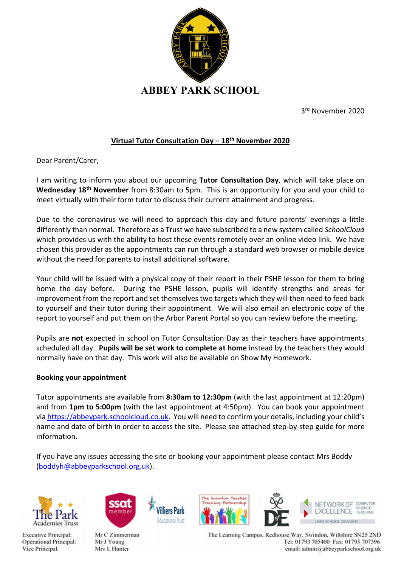

3 rd November 2020

## Virtual Tutor Consultation Day  $-18<sup>th</sup>$  November 2020

Dear Parent/Carer,

I am writing to inform you about our upcoming Tutor Consultation Day, which will take place on Wednesday 18<sup>th</sup> November from 8:30am to 5pm. This is an opportunity for you and your child to meet virtually with their form tutor to discuss their current attainment and progress.

Due to the coronavirus we will need to approach this day and future parents' evenings a little differently than normal. Therefore as a Trust we have subscribed to a new system called SchoolCloud which provides us with the ability to host these events remotely over an online video link. We have chosen this provider as the appointments can run through a standard web browser or mobile device without the need for parents to install additional software.

Your child will be issued with a physical copy of their report in their PSHE lesson for them to bring home the day before. During the PSHE lesson, pupils will identify strengths and areas for improvement from the report and set themselves two targets which they will then need to feed back to yourself and their tutor during their appointment. We will also email an electronic copy of the report to yourself and put them on the Arbor Parent Portal so you can review before the meeting.

Pupils are not expected in school on Tutor Consultation Day as their teachers have appointments scheduled all day. Pupils will be set work to complete at home instead by the teachers they would normally have on that day. This work will also be available on Show My Homework.

## Booking your appointment

Tutor appointments are available from 8:30am to 12:30pm (with the last appointment at 12:20pm) and from 1pm to 5:00pm (with the last appointment at 4:50pm). You can book your appointment via https://abbeypark.schoolcloud.co.uk. You will need to confirm your details, including your child's name and date of birth in order to access the site. Please see attached step-by-step guide for more information.

If you have any issues accessing the site or booking your appointment please contact Mrs Boddy (boddyh@abbeyparkschool.org.uk).

illiers Par

iducational Trus







Mr C Zimmerman Mr J Young Mrs L Hunter



The Learning Campus, Redhouse Way, Swindon, Wiltshire SN25 2ND Tel: 01793 705400 Fax: 01793 707596 email: admin@abbeyparkschool.org.uk